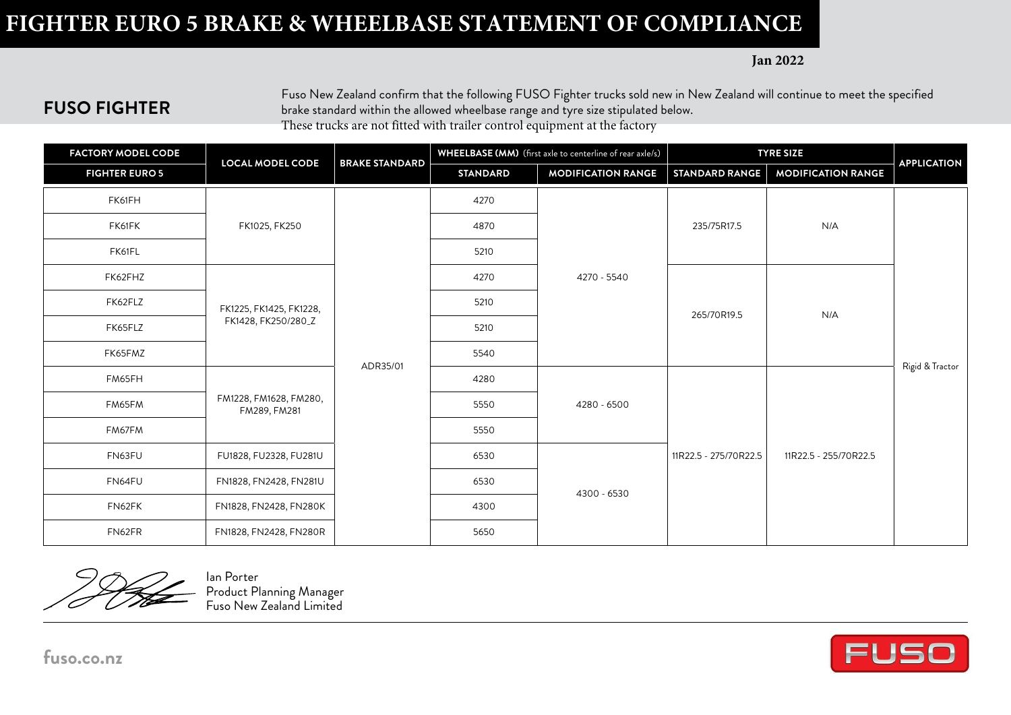## **FIGHTER EURO 5 BRAKE & WHEELBASE STATEMENT OF COMPLIANCE**

**Jan 2022**

## **FUSO FIGHTER**

Fuso New Zealand confirm that the following FUSO Fighter trucks sold new in New Zealand will continue to meet the specified brake standard within the allowed wheelbase range and tyre size stipulated below. These trucks are not fitted with trailer control equipment at the factory

| <b>FACTORY MODEL CODE</b> | <b>LOCAL MODEL CODE</b>                          | <b>BRAKE STANDARD</b> |                 | WHEELBASE (MM) (first axle to centerline of rear axle/s) | <b>TYRE SIZE</b>      |                           |                    |  |
|---------------------------|--------------------------------------------------|-----------------------|-----------------|----------------------------------------------------------|-----------------------|---------------------------|--------------------|--|
| <b>FIGHTER EURO 5</b>     |                                                  |                       | <b>STANDARD</b> | <b>MODIFICATION RANGE</b>                                | <b>STANDARD RANGE</b> | <b>MODIFICATION RANGE</b> | <b>APPLICATION</b> |  |
| FK61FH                    |                                                  |                       | 4270            |                                                          |                       |                           |                    |  |
| FK61FK                    | FK1025, FK250                                    |                       | 4870            |                                                          | 235/75R17.5           | N/A                       |                    |  |
| FK61FL                    |                                                  | ADR35/01              | 5210            | 4270 - 5540                                              |                       |                           | Rigid & Tractor    |  |
| FK62FHZ                   |                                                  |                       | 4270            |                                                          | 265/70R19.5           | N/A                       |                    |  |
| FK62FLZ                   | FK1225, FK1425, FK1228,<br>FK1428, FK250/280_Z   |                       | 5210            |                                                          |                       |                           |                    |  |
| FK65FLZ                   |                                                  |                       | 5210            |                                                          |                       |                           |                    |  |
| FK65FMZ                   |                                                  |                       | 5540            |                                                          |                       |                           |                    |  |
| FM65FH                    |                                                  |                       | 4280            | 4280 - 6500                                              | 11R22.5 - 275/70R22.5 | 11R22.5 - 255/70R22.5     |                    |  |
| FM65FM                    | FM1228, FM1628, FM280,<br>FM289, FM281           |                       | 5550            |                                                          |                       |                           |                    |  |
| FM67FM                    |                                                  |                       | 5550            |                                                          |                       |                           |                    |  |
| FN63FU                    | FU1828, FU2328, FU281U<br>FN1828, FN2428, FN281U |                       | 6530            | 4300 - 6530                                              |                       |                           |                    |  |
| FN64FU                    |                                                  |                       | 6530            |                                                          |                       |                           |                    |  |
| FN62FK                    | FN1828, FN2428, FN280K                           |                       | 4300            |                                                          |                       |                           |                    |  |
| FN62FR                    | FN1828, FN2428, FN280R                           |                       | 5650            |                                                          |                       |                           |                    |  |

Ian Porter Product Planning Manager Fuso New Zealand Limited